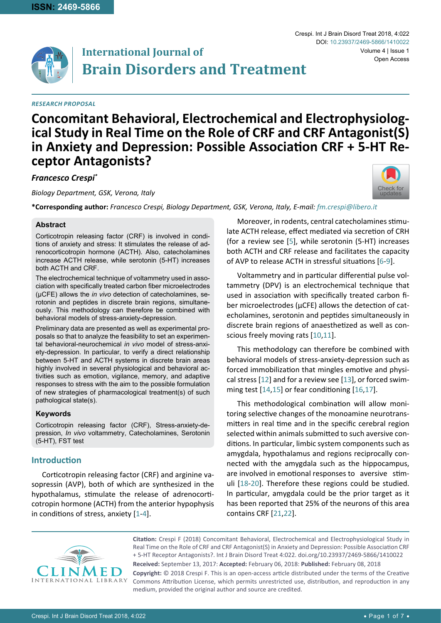

# **International Journal of Brain Disorders and Treatment**

#### *Research Proposal*

Crespi. Int J Brain Disord Treat 2018, 4:022 Volume 4 | Issue 1 DOI: [10.23937/2469-5866/1410022](https://doi.org/10.23937/2469-5866/1410022) Open Access

# **Concomitant Behavioral, Electrochemical and Electrophysiolog- ical Study in Real Time on the Role of CRF and CRF Antagonist(S) in Anxiety and Depression: Possible Association CRF + 5-HT Re- ceptor Antagonists?**

*Francesco Crespi\**

*Biology Department, GSK, Verona, Italy*

[Check for](http://crossmark.crossref.org/dialog/?doi=10.23937/2469-5866/1410022&domain=pdf) updates

**\*Corresponding author:** *Francesco Crespi, Biology Department, GSK, Verona, Italy, E-mail: fm.crespi@libero.it*

#### **Abstract**

Corticotropin releasing factor (CRF) is involved in conditions of anxiety and stress: It stimulates the release of adrenocorticotropin hormone (ACTH). Also, catecholamines increase ACTH release, while serotonin (5-HT) increases both ACTH and CRF.

The electrochemical technique of voltammetry used in association with specifically treated carbon fiber microelectrodes (µCFE) allows the *in vivo* detection of catecholamines, serotonin and peptides in discrete brain regions, simultaneously. This methodology can therefore be combined with behavioral models of stress-anxiety-depression.

Preliminary data are presented as well as experimental proposals so that to analyze the feasibility to set an experimental behavioral-neurochemical *in vivo* model of stress-anxiety-depression. In particular, to verify a direct relationship between 5-HT and ACTH systems in discrete brain areas highly involved in several physiological and behavioral activities such as emotion, vigilance, memory, and adaptive responses to stress with the aim to the possible formulation of new strategies of pharmacological treatment(s) of such pathological state(s).

#### **Keywords**

Corticotropin releasing factor (CRF), Stress-anxiety-depression, *In vivo* voltammetry, Catecholamines, Serotonin (5-HT), FST test

## **Introduction**

Corticotropin releasing factor (CRF) and arginine vasopressin (AVP), both of which are synthesized in the hypothalamus, stimulate the release of adrenocorticotropin hormone (ACTH) from the anterior hypophysis in conditions of stress, anxiety [[1](#page-5-15)[-4\]](#page-5-16).

Moreover, in rodents, central catecholamines stimulate ACTH release, effect mediated via secretion of CRH (for a review see [[5](#page-5-0)], while serotonin (5-HT) increases both ACTH and CRF release and facilitates the capacity of AVP to release ACTH in stressful situations [[6](#page-5-1)-[9](#page-5-2)].

Voltammetry and in particular differential pulse voltammetry (DPV) is an electrochemical technique that used in association with specifically treated carbon fiber microelectrodes (µCFE) allows the detection of catecholamines, serotonin and peptides simultaneously in discrete brain regions of anaesthetized as well as conscious freely moving rats [[10](#page-5-3)[,11\]](#page-5-4).

This methodology can therefore be combined with behavioral models of stress-anxiety-depression such as forced immobilization that mingles emotive and physical stress [[12](#page-5-5)] and for a review see [[13](#page-5-6)], or forced swimming test [[14](#page-5-7),[15](#page-5-8)] or fear conditioning [[16](#page-5-9),[17](#page-5-10)].

This methodological combination will allow monitoring selective changes of the monoamine neurotransmitters in real time and in the specific cerebral region selected within animals submitted to such aversive conditions. In particular, limbic system components such as amygdala, hypothalamus and regions reciprocally connected with the amygdala such as the hippocampus, are involved in emotional responses to aversive stimuli [[18](#page-5-11)-[20\]](#page-5-12). Therefore these regions could be studied. In particular, amygdala could be the prior target as it has been reported that 25% of the neurons of this area contains CRF [[21](#page-5-13)[,22](#page-5-14)].



**Citation:** Crespi F (2018) Concomitant Behavioral, Electrochemical and Electrophysiological Study in Real Time on the Role of CRF and CRF Antagonist(S) in Anxiety and Depression: Possible Association CRF + 5-HT Receptor Antagonists?. Int J Brain Disord Treat 4:022. [doi.org/10.23937/2469-5866/1410022](https://doi.org/10.23937/2469-5866/1410022)

**Received:** September 13, 2017: **Accepted:** February 06, 2018: **Published:** February 08, 2018 **Copyright:** © 2018 Crespi F. This is an open-access article distributed under the terms of the Creative Commons Attribution License, which permits unrestricted use, distribution, and reproduction in any medium, provided the original author and source are credited.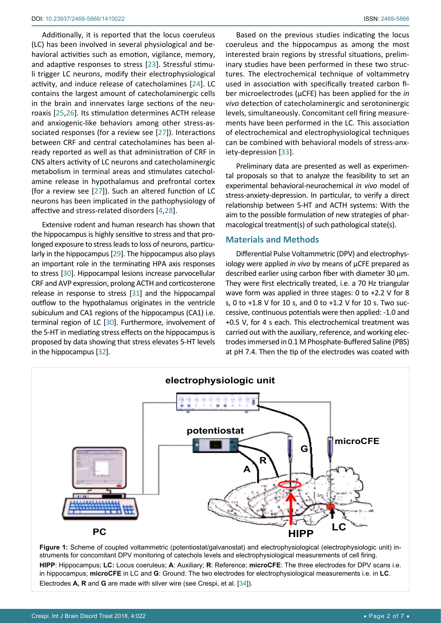Additionally, it is reported that the locus coeruleus (LC) has been involved in several physiological and behavioral activities such as emotion, vigilance, memory, and adaptive responses to stress [[23](#page-5-17)]. Stressful stimuli trigger LC neurons, modify their electrophysiological activity, and induce release of catecholamines [[24](#page-5-18)]. LC contains the largest amount of catecholaminergic cells in the brain and innervates large sections of the neuroaxis [[25,](#page-5-19)[26](#page-5-20)]. Its stimulation determines ACTH release and anxiogenic-like behaviors among other stress-associated responses (for a review see [[27](#page-5-21)]). Interactions between CRF and central catecholamines has been already reported as well as that administration of CRF in CNS alters activity of LC neurons and catecholaminergic metabolism in terminal areas and stimulates catecholamine release in hypothalamus and prefrontal cortex (for a review see [[27](#page-5-21)]). Such an altered function of LC neurons has been implicated in the pathophysiology of affective and stress-related disorders [[4,](#page-5-16)[28](#page-5-22)].

Extensive rodent and human research has shown that the hippocampus is highly sensitive to stress and that prolonged exposure to stress leads to loss of neurons, particularly in the hippocampus [[29](#page-5-23)]. The hippocampus also plays an important role in the terminating HPA axis responses to stress [[30\]](#page-5-24). Hippocampal lesions increase parvocellular CRF and AVP expression, prolong ACTH and corticosterone release in response to stress [[31\]](#page-5-25) and the hippocampal outflow to the hypothalamus originates in the ventricle subiculum and CA1 regions of the hippocampus (CA1) i.e. terminal region of LC [[30\]](#page-5-24). Furthermore, involvement of the 5-HT in mediating stress effects on the hippocampus is proposed by data showing that stress elevates 5-HT levels in the hippocampus [[32](#page-5-26)].

Based on the previous studies indicating the locus coeruleus and the hippocampus as among the most interested brain regions by stressful situations, preliminary studies have been performed in these two structures. The electrochemical technique of voltammetry used in association with specifically treated carbon fiber microelectrodes (µCFE) has been applied for the *in vivo* detection of catecholaminergic and serotoninergic levels, simultaneously. Concomitant cell firing measurements have been performed in the LC. This association of electrochemical and electrophysiological techniques can be combined with behavioral models of stress-anxiety-depression [[33\]](#page-5-27).

Preliminary data are presented as well as experimental proposals so that to analyze the feasibility to set an experimental behavioral-neurochemical *in vivo* model of stress-anxiety-depression. In particular, to verify a direct relationship between 5-HT and ACTH systems: With the aim to the possible formulation of new strategies of pharmacological treatment(s) of such pathological state(s).

#### **Materials and Methods**

Differential Pulse Voltammetric (DPV) and electrophysiology were applied *in vivo* by means of µCFE prepared as described earlier using carbon fiber with diameter 30 µm. They were first electrically treated, i.e. a 70 Hz triangular wave form was applied in three stages: 0 to +2.2 V for 8 s, 0 to +1.8 V for 10 s, and 0 to +1.2 V for 10 s. Two successive, continuous potentials were then applied: -1.0 and +0.5 V, for 4 s each. This electrochemical treatment was carried out with the auxiliary, reference, and working electrodes immersed in 0.1 M Phosphate-Buffered Saline (PBS) at pH 7.4. Then the tip of the electrodes was coated with

<span id="page-1-0"></span>

Figure 1: Scheme of coupled voltammetric (potentiostat/galvanostat) and electrophysiological (electrophysiologic unit) instruments for concomitant DPV monitoring of catechols levels and electrophysiological measurements of cell firing. **HIPP**: Hippocampus; **LC:** Locus coeruleus; **A**: Auxiliary; **R**: Reference; **microCFE**: The three electrodes for DPV scans i.e. in hippocampus; **microCFE** in LC and **G**: Ground: The two electrodes for electrophysiological measurements i.e. in **LC**. Electrodes **A, R** and **G** are made with silver wire (see Crespi, et al. [[34\]](#page-5-28)).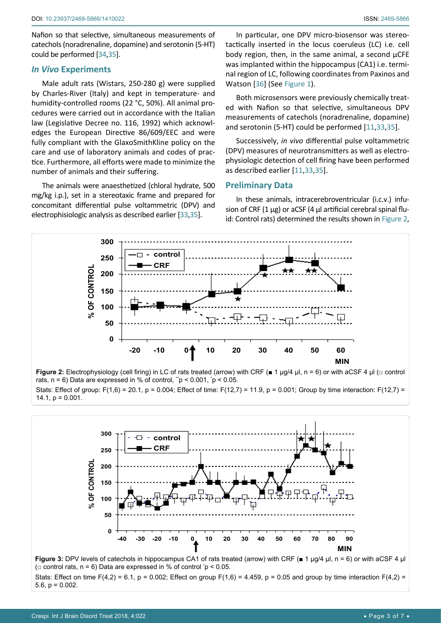Nafion so that selective, simultaneous measurements of catechols (noradrenaline, dopamine) and serotonin (5-HT) could be performed [[34,](#page-5-28)[35\]](#page-6-1).

#### *In Vivo* **Experiments**

Male adult rats (Wistars, 250-280 g) were supplied by Charles-River (Italy) and kept in temperature- and humidity-controlled rooms (22 °C, 50%). All animal procedures were carried out in accordance with the Italian law (Legislative Decree no. 116, 1992) which acknowledges the European Directive 86/609/EEC and were fully compliant with the GlaxoSmithKline policy on the care and use of laboratory animals and codes of practice. Furthermore, all efforts were made to minimize the number of animals and their suffering.

The animals were anaesthetized (chloral hydrate, 500 mg/kg i.p.), set in a stereotaxic frame and prepared for concomitant differential pulse voltammetric (DPV) and electrophisiologic analysis as described earlier [[33](#page-5-27)[,35](#page-6-1)].

In particular, one DPV micro-biosensor was stereotactically inserted in the locus coeruleus (LC) i.e. cell body region, then, in the same animal, a second µCFE was implanted within the hippocampus (CA1) i.e. terminal region of LC, following coordinates from Paxinos and Watson [[36](#page-6-0)] (See [Figure 1\)](#page-1-0).

Both microsensors were previously chemically treated with Nafion so that selective, simultaneous DPV measurements of catechols (noradrenaline, dopamine) and serotonin (5-HT) could be performed [[11](#page-5-4)[,33,](#page-5-27)[35\]](#page-6-1).

Successively, *in vivo* differential pulse voltammetric (DPV) measures of neurotransmitters as well as electrophysiologic detection of cell firing have been performed as described earlier [[11,](#page-5-4)[33](#page-5-27)[,35\]](#page-6-1).

#### **Preliminary Data**

In these animals, intracerebroventricular (i.c.v.) infusion of CRF  $(1 \mu g)$  or aCSF  $(4 \mu l)$  artificial cerebral spinal fluid: Control rats) determined the results shown in [Figure 2](#page-2-0),

<span id="page-2-0"></span>

**Figure 2:** Electrophysiology (cell firing) in LC of rats treated (arrow) with CRF (■ 1 µg/4 µl, n = 6) or with aCSF 4 µl (□ control rats, n = 6) Data are expressed in % of control, " $p$  < 0.001,  $p$  < 0.05. Stats: Effect of group: F(1,6) = 20.1, p = 0.004; Effect of time: F(12,7) = 11.9, p = 0.001; Group by time interaction: F(12,7) =  $14.1, p = 0.001.$ 

<span id="page-2-1"></span>

Stats: Effect on time F(4,2) = 6.1, p = 0.002; Effect on group F(1,6) = 4.459, p = 0.05 and group by time interaction F(4,2) = 5.6,  $p = 0.002$ .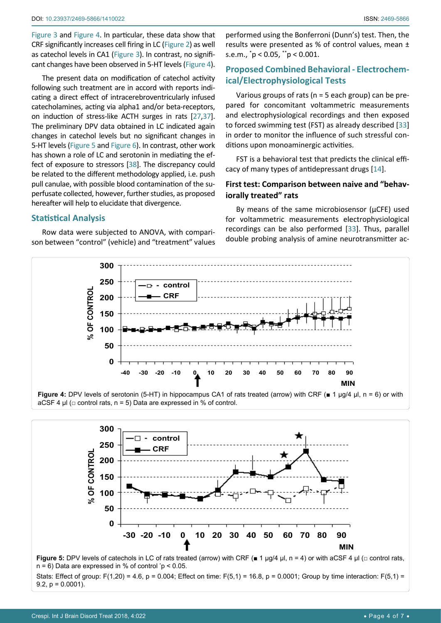[Figure 3](#page-2-1) and [Figure 4](#page-3-0). In particular, these data show that CRF significantly increases cell firing in LC ([Figure 2](#page-2-0)) as well as catechol levels in CA1 [\(Figure 3](#page-2-1)). In contrast, no significant changes have been observed in 5-HT levels ([Figure 4\)](#page-3-0).

The present data on modification of catechol activity following such treatment are in accord with reports indicating a direct effect of intracerebroventricularly infused catecholamines, acting via alpha1 and/or beta-receptors, on induction of stress-like ACTH surges in rats [[27](#page-5-21)[,37\]](#page-6-2). The preliminary DPV data obtained in LC indicated again changes in catechol levels but no significant changes in 5-HT levels ([Figure 5](#page-3-1) and [Figure 6](#page-4-0)). In contrast, other work has shown a role of LC and serotonin in mediating the effect of exposure to stressors [[38\]](#page-6-3). The discrepancy could be related to the different methodology applied, i.e. push pull canulae, with possible blood contamination of the superfusate collected, however, further studies, as proposed hereafter will help to elucidate that divergence.

#### **Statistical Analysis**

Row data were subjected to ANOVA, with comparison between "control" (vehicle) and "treatment" values

performed using the Bonferroni (Dunn's) test. Then, the results were presented as % of control values, mean ± s.e.m., \* p < 0.05, \*\*p < 0.001.

# **Proposed Combined Behavioral - Electrochemical/Electrophysiological Tests**

Various groups of rats ( $n = 5$  each group) can be prepared for concomitant voltammetric measurements and electrophysiological recordings and then exposed to forced swimming test (FST) as already described [[33](#page-5-27)] in order to monitor the influence of such stressful conditions upon monoaminergic activities.

FST is a behavioral test that predicts the clinical efficacy of many types of antidepressant drugs [[14](#page-5-7)].

### **First test: Comparison between naive and "behaviorally treated" rats**

By means of the same microbiosensor ( $\mu$ CFE) used for voltammetric measurements electrophysiological recordings can be also performed [[33\]](#page-5-27). Thus, parallel double probing analysis of amine neurotransmitter ac-

<span id="page-3-0"></span>

aCSF 4  $\mu$ I ( $\sigma$  control rats, n = 5) Data are expressed in % of control.

<span id="page-3-1"></span>**300 control 250 CRF % OF CONTROL** OF CONTROI **200 150 100**  $\approx$ **50 0 -30 -20 -10 0 10 20 30 40 50 60 70 80 90 MIN**

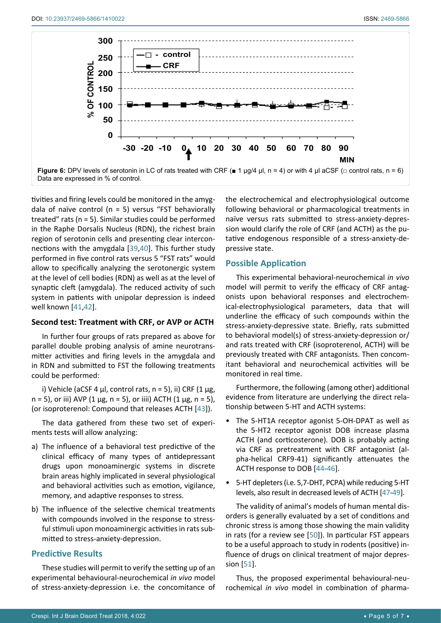<span id="page-4-0"></span>

tivities and firing levels could be monitored in the amygdala of naïve control ( $n = 5$ ) versus "FST behaviorally treated" rats (n = 5). Similar studies could be performed in the Raphe Dorsalis Nucleus (RDN), the richest brain region of serotonin cells and presenting clear interconnections with the amygdala [[39](#page-6-10),[40](#page-6-11)]. This further study performed in five control rats versus 5 "FST rats" would allow to specifically analyzing the serotonergic system at the level of cell bodies (RDN) as well as at the level of synaptic cleft (amygdala). The reduced activity of such system in patients with unipolar depression is indeed well known [[41,](#page-6-12)[42\]](#page-6-13).

#### **Second test: Treatment with CRF, or AVP or ACTH**

In further four groups of rats prepared as above for parallel double probing analysis of amine neurotransmitter activities and firing levels in the amygdala and in RDN and submitted to FST the following treatments could be performed:

i) Vehicle (aCSF 4  $\mu$ l, control rats, n = 5), ii) CRF (1  $\mu$ g,  $n = 5$ ), or iii) AVP (1  $\mu$ g, n = 5), or iiii) ACTH (1  $\mu$ g, n = 5), (or isoproterenol: Compound that releases ACTH [[43](#page-6-14)]).

The data gathered from these two set of experiments tests will allow analyzing:

- a) The influence of a behavioral test predictive of the clinical efficacy of many types of antidepressant drugs upon monoaminergic systems in discrete brain areas highly implicated in several physiological and behavioral activities such as emotion, vigilance, memory, and adaptive responses to stress.
- b) The influence of the selective chemical treatments with compounds involved in the response to stressful stimuli upon monoaminergic activities in rats submitted to stress-anxiety-depression.

#### **Predictive Results**

These studies will permit to verify the setting up of an experimental behavioural-neurochemical *in vivo* model of stress-anxiety-depression i.e. the concomitance of the electrochemical and electrophysiological outcome following behavioral or pharmacological treatments in naïve versus rats submitted to stress-anxiety-depression would clarify the role of CRF (and ACTH) as the putative endogenous responsible of a stress-anxiety-depressive state.

#### **Possible Application**

This experimental behavioral-neurochemical *in vivo* model will permit to verify the efficacy of CRF antagonists upon behavioral responses and electrochemical-electrophysiological parameters, data that will underline the efficacy of such compounds within the stress-anxiety-depressive state. Briefly, rats submitted to behavioral model(s) of stress-anxiety-depression or/ and rats treated with CRF (isoproterenol, ACTH) will be previously treated with CRF antagonists. Then concomitant behavioral and neurochemical activities will be monitored in real time.

Furthermore, the following (among other) additional evidence from literature are underlying the direct relationship between 5-HT and ACTH systems:

- The 5-HT1A receptor agonist 5-OH-DPAT as well as the 5-HT2 receptor agonist DOB increase plasma ACTH (and corticosterone). DOB is probably acting via CRF as pretreatment with CRF antagonist (alpha-helical CRF9-41) significantly attenuates the ACTH response to DOB [[44](#page-6-4)[-46\]](#page-6-5).
- 5-HT depleters (i.e. 5,7-DHT, PCPA) while reducing 5-HT levels, also result in decreased levels of ACTH [[47-](#page-6-6)[49\]](#page-6-7).

The validity of animal's models of human mental disorders is generally evaluated by a set of conditions and chronic stress is among those showing the main validity in rats (for a review see [[50](#page-6-8)]). In particular FST appears to be a useful approach to study in rodents (positive) influence of drugs on clinical treatment of major depression [[51](#page-6-9)].

Thus, the proposed experimental behavioural-neurochemical *in vivo* model in combination of pharma-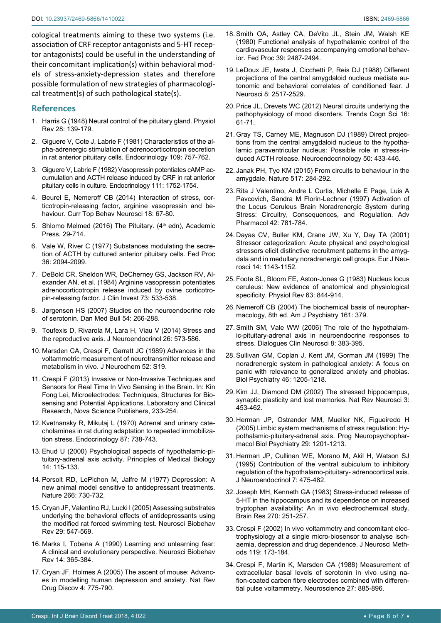cological treatments aiming to these two systems (i.e. association of CRF receptor antagonists and 5-HT receptor antagonists) could be useful in the understanding of their concomitant implication(s) within behavioral models of stress-anxiety-depression states and therefore possible formulation of new strategies of pharmacological treatment(s) of such pathological state(s).

#### **References**

- <span id="page-5-15"></span>1. [Harris G \(1948\) Neural control of the pituitary gland. Physiol](https://www.ncbi.nlm.nih.gov/pubmed/18865220)  [Rev 28: 139-179.](https://www.ncbi.nlm.nih.gov/pubmed/18865220)
- 2. [Giguere V, Cote J, Labrie F \(1981\) Characteristics of the al](https://www.ncbi.nlm.nih.gov/pubmed/6114856)[pha-adrenergic stimulation of adrenocorticotropin secretion](https://www.ncbi.nlm.nih.gov/pubmed/6114856)  [in rat anterior pituitary cells. Endocrinology 109: 757-762.](https://www.ncbi.nlm.nih.gov/pubmed/6114856)
- 3. Giguere V, Labrie F (1982) Vasopressin potentiates cAMP accumulation and ACTH release induced by CRF in rat anterior pituitary cells in culture. Endocrinology 111: 1752-1754.
- <span id="page-5-16"></span>4. [Beurel E, Nemeroff CB \(2014\) Interaction of stress, cor](https://www.ncbi.nlm.nih.gov/pubmed/24659554)[ticotropin-releasing factor, arginine vasopressin and be](https://www.ncbi.nlm.nih.gov/pubmed/24659554)[haviour. Curr Top Behav Neurosci 18: 67-80.](https://www.ncbi.nlm.nih.gov/pubmed/24659554)
- <span id="page-5-0"></span>5. Shlomo Melmed (2016) The Pituitary. (4<sup>th</sup> edn), Academic Press, 29-714.
- <span id="page-5-1"></span>6. [Vale W, River C \(1977\) Substances modulating the secre](https://www.ncbi.nlm.nih.gov/pubmed/17552)[tion of ACTH by cultured anterior pituitary cells. Fed Proc](https://www.ncbi.nlm.nih.gov/pubmed/17552)  [36: 2094-2099.](https://www.ncbi.nlm.nih.gov/pubmed/17552)
- 7. [DeBold CR, Sheldon WR, DeCherney GS, Jackson RV, Al](https://www.ncbi.nlm.nih.gov/pubmed/6321557)[exander AN, et al. \(1984\) Arginine vasopressin potentiates](https://www.ncbi.nlm.nih.gov/pubmed/6321557)  [adrenocorticotropin release induced by ovine corticotro](https://www.ncbi.nlm.nih.gov/pubmed/6321557)[pin-releasing factor. J Clin Invest 73: 533-538.](https://www.ncbi.nlm.nih.gov/pubmed/6321557)
- 8. [Jørgensen HS \(2007\) Studies on the neuroendocrine role](https://www.ncbi.nlm.nih.gov/pubmed/18208678)  [of serotonin. Dan Med Bull 54: 266-288.](https://www.ncbi.nlm.nih.gov/pubmed/18208678)
- <span id="page-5-2"></span>9. [Toufexis D, Rivarola M, Lara H, Viau V \(2014\) Stress and](https://www.ncbi.nlm.nih.gov/pubmed/25040027)  [the reproductive axis. J Neuroendocrinol 26: 573-586.](https://www.ncbi.nlm.nih.gov/pubmed/25040027)
- <span id="page-5-3"></span>10. [Marsden CA, Crespi F, Garratt JC \(1989\) Advances in the](https://eurekamag.com/research/029/924/029924207.php)  [voltammetric measurement of neurotransmitter release and](https://eurekamag.com/research/029/924/029924207.php)  [metabolism in vivo. J Neurochem 52: S19.](https://eurekamag.com/research/029/924/029924207.php)
- <span id="page-5-4"></span>11. Crespi F (2013) Invasive or Non-Invasive Techniques and Sensors for Real Time In Vivo Sensing in the Brain. In: Kin Fong Lei, Microelectrodes: Techniques, Structures for Biosensing and Potential Applications. Laboratory and Clinical Research, Nova Science Publishers, 233-254.
- <span id="page-5-5"></span>12. [Kvetnansky R, Mikulaj L \(1970\) Adrenal and urinary cate](https://www.ncbi.nlm.nih.gov/pubmed/5453288)[cholamines in rat during adaptation to repeated immobiliza](https://www.ncbi.nlm.nih.gov/pubmed/5453288)[tion stress. Endocrinology 87: 738-743.](https://www.ncbi.nlm.nih.gov/pubmed/5453288)
- <span id="page-5-6"></span>13. Ehud U (2000) Psychological aspects of hypothalamic-pituitary-adrenal axis activity. Principles of Medical Biology 14: 115-133.
- <span id="page-5-7"></span>14. [Porsolt RD, LePichon M, Jalfre M \(1977\) Depression: A](https://www.ncbi.nlm.nih.gov/pubmed/559941)  [new animal model sensitive to antidepressant treatments.](https://www.ncbi.nlm.nih.gov/pubmed/559941)  [Nature 266: 730-732.](https://www.ncbi.nlm.nih.gov/pubmed/559941)
- <span id="page-5-8"></span>15. [Cryan JF, Valentino RJ, Lucki I \(2005\) Assessing substrates](https://www.ncbi.nlm.nih.gov/pubmed/15893822)  [underlying the behavioral effects of antidepressants using](https://www.ncbi.nlm.nih.gov/pubmed/15893822)  [the modified rat forced swimming test. Neurosci Biobehav](https://www.ncbi.nlm.nih.gov/pubmed/15893822)  [Rev 29: 547-569.](https://www.ncbi.nlm.nih.gov/pubmed/15893822)
- <span id="page-5-9"></span>16. [Marks I, Tobena A \(1990\) Learning and unlearning fear:](https://www.ncbi.nlm.nih.gov/pubmed/2287477)  [A clinical and evolutionary perspective. Neurosci Biobehav](https://www.ncbi.nlm.nih.gov/pubmed/2287477)  [Rev 14: 365-384.](https://www.ncbi.nlm.nih.gov/pubmed/2287477)
- <span id="page-5-10"></span>17. [Cryan JF, Holmes A \(2005\) The ascent of mouse: Advanc](https://www.ncbi.nlm.nih.gov/pubmed/16138108)[es in modelling human depression and anxiety. Nat Rev](https://www.ncbi.nlm.nih.gov/pubmed/16138108)  [Drug Discov 4: 775-790.](https://www.ncbi.nlm.nih.gov/pubmed/16138108)
- <span id="page-5-11"></span>18. [Smith OA, Astley CA, DeVito JL, Stein JM, Walsh KE](https://www.ncbi.nlm.nih.gov/pubmed/6769712)  [\(1980\) Functional analysis of hypothalamic control of the](https://www.ncbi.nlm.nih.gov/pubmed/6769712)  [cardiovascular responses accompanying emotional behav](https://www.ncbi.nlm.nih.gov/pubmed/6769712)[ior. Fed Proc 39: 2487-2494.](https://www.ncbi.nlm.nih.gov/pubmed/6769712)
- 19. [LeDoux JE, Iwata J, Cicchetti P, Reis DJ \(1988\) Different](https://www.ncbi.nlm.nih.gov/pubmed/2854842)  [projections of the central amygdaloid nucleus mediate au](https://www.ncbi.nlm.nih.gov/pubmed/2854842)[tonomic and behavioral correlates of conditioned fear. J](https://www.ncbi.nlm.nih.gov/pubmed/2854842)  [Neurosci 8: 2517-2529.](https://www.ncbi.nlm.nih.gov/pubmed/2854842)
- <span id="page-5-12"></span>20. [Price JL, Drevets WC \(2012\) Neural circuits underlying the](https://www.ncbi.nlm.nih.gov/pubmed/22197477)  [pathophysiology of mood disorders. Trends Cogn Sci 16:](https://www.ncbi.nlm.nih.gov/pubmed/22197477)  [61-71.](https://www.ncbi.nlm.nih.gov/pubmed/22197477)
- <span id="page-5-13"></span>21. [Gray TS, Carney ME, Magnuson DJ \(1989\) Direct projec](https://www.ncbi.nlm.nih.gov/pubmed/2554178)[tions from the central amygdaloid nucleus to the hypotha](https://www.ncbi.nlm.nih.gov/pubmed/2554178)[lamic paraventricular nucleus: Possible role in stress-in](https://www.ncbi.nlm.nih.gov/pubmed/2554178)[duced ACTH release. Neuroendocrinology 50: 433-446.](https://www.ncbi.nlm.nih.gov/pubmed/2554178)
- <span id="page-5-14"></span>22. [Janak PH, Tye KM \(2015\) From circuits to behaviour in the](https://www.ncbi.nlm.nih.gov/pubmed/25592533)  [amygdale. Nature 517: 284-292.](https://www.ncbi.nlm.nih.gov/pubmed/25592533)
- <span id="page-5-17"></span>23. [Rita J Valentino, Andre L Curtis, Michelle E Page, Luis A](http://www.sciencedirect.com/science/article/pii/S1054358908608637)  [Pavcovich, Sandra M Florin-Lechner \(1997\) Activation of](http://www.sciencedirect.com/science/article/pii/S1054358908608637)  [the Locus Ceruleus Brain Noradrenergic System during](http://www.sciencedirect.com/science/article/pii/S1054358908608637)  [Stress: Circuitry, Consequences, and Regulation. Adv](http://www.sciencedirect.com/science/article/pii/S1054358908608637)  [Pharmacol 42: 781-784.](http://www.sciencedirect.com/science/article/pii/S1054358908608637)
- <span id="page-5-18"></span>24. [Dayas CV, Buller KM, Crane JW, Xu Y, Day TA \(2001\)](https://www.ncbi.nlm.nih.gov/pubmed/11683906)  [Stressor categorization: Acute physical and psychological](https://www.ncbi.nlm.nih.gov/pubmed/11683906)  [stressors elicit distinctive recruitment patterns in the amyg](https://www.ncbi.nlm.nih.gov/pubmed/11683906)[dala and in medullary noradrenergic cell groups. Eur J Neu](https://www.ncbi.nlm.nih.gov/pubmed/11683906)[rosci 14: 1143-1152.](https://www.ncbi.nlm.nih.gov/pubmed/11683906)
- <span id="page-5-19"></span>25. [Foote SL, Bloom FE, Aston-Jones G \(1983\) Nucleus locus](https://www.ncbi.nlm.nih.gov/pubmed/6308694)  [ceruleus: New evidence of anatomical and physiological](https://www.ncbi.nlm.nih.gov/pubmed/6308694)  [specificity. Physiol Rev 63: 844-914.](https://www.ncbi.nlm.nih.gov/pubmed/6308694)
- <span id="page-5-20"></span>26. [Nemeroff CB \(2004\) The biochemical basis of neurophar](https://ajp.psychiatryonline.org/doi/full/10.1176/appi.ajp.161.2.379)[macology, 8th ed. Am J Psychiatry 161: 379.](https://ajp.psychiatryonline.org/doi/full/10.1176/appi.ajp.161.2.379)
- <span id="page-5-21"></span>27. [Smith SM, Vale WW \(2006\) The role of the hypothalam](https://www.ncbi.nlm.nih.gov/pubmed/17290797)[ic-pituitary-adrenal axis in neuroendocrine responses to](https://www.ncbi.nlm.nih.gov/pubmed/17290797)  [stress. Dialogues Clin Neurosci 8: 383-395.](https://www.ncbi.nlm.nih.gov/pubmed/17290797)
- <span id="page-5-22"></span>28. [Sullivan GM, Coplan J, Kent JM, Gorman JM \(1999\) The](https://www.ncbi.nlm.nih.gov/pubmed/10560026)  [noradrenergic system in pathological anxiety: A focus on](https://www.ncbi.nlm.nih.gov/pubmed/10560026)  [panic with relevance to generalized anxiety and phobias.](https://www.ncbi.nlm.nih.gov/pubmed/10560026)  [Biol Psychiatry 46: 1205-1218.](https://www.ncbi.nlm.nih.gov/pubmed/10560026)
- <span id="page-5-23"></span>29. [Kim JJ, Diamond DM \(2002\) The stressed hippocampus,](https://www.ncbi.nlm.nih.gov/pubmed/12042880)  [synaptic plasticity and lost memories. Nat Rev Neurosci 3:](https://www.ncbi.nlm.nih.gov/pubmed/12042880)  [453-462.](https://www.ncbi.nlm.nih.gov/pubmed/12042880)
- <span id="page-5-24"></span>30. [Herman JP, Ostrander MM, Mueller NK, Figueiredo H](https://www.ncbi.nlm.nih.gov/pubmed/16271821)  [\(2005\) Limbic system mechanisms of stress regulation: Hy](https://www.ncbi.nlm.nih.gov/pubmed/16271821)[pothalamic-pituitary-adrenal axis. Prog Neuropsychophar](https://www.ncbi.nlm.nih.gov/pubmed/16271821)[macol Biol Psychiatry 29: 1201-1213.](https://www.ncbi.nlm.nih.gov/pubmed/16271821)
- <span id="page-5-25"></span>31. [Herman JP, Cullinan WE, Morano M, Akil H, Watson SJ](https://www.ncbi.nlm.nih.gov/pubmed/7550295)  [\(1995\) Contribution of the ventral subiculum to inhibitory](https://www.ncbi.nlm.nih.gov/pubmed/7550295)  [regulation of the hypothalamo-pituitary- adrenocortical axis.](https://www.ncbi.nlm.nih.gov/pubmed/7550295)  [J Neuroendocrinol 7: 475-482.](https://www.ncbi.nlm.nih.gov/pubmed/7550295)
- <span id="page-5-26"></span>32. [Joseph MH, Kenneth GA \(1983\) Stress-induced release of](https://www.ncbi.nlm.nih.gov/pubmed/6224532)  [5-HT in the hippocampus and its dependence on increased](https://www.ncbi.nlm.nih.gov/pubmed/6224532)  [tryptophan availability: An in vivo electrochemical study.](https://www.ncbi.nlm.nih.gov/pubmed/6224532)  [Brain Res 270: 251-257.](https://www.ncbi.nlm.nih.gov/pubmed/6224532)
- <span id="page-5-27"></span>33. [Crespi F \(2002\) In vivo voltammetry and concomitant elec](https://www.ncbi.nlm.nih.gov/pubmed/12323421)[trophysiology at a single micro-biosensor to analyse isch](https://www.ncbi.nlm.nih.gov/pubmed/12323421)[aemia, depression and drug dependence. J Neurosci Meth](https://www.ncbi.nlm.nih.gov/pubmed/12323421)[ods 119: 173-184.](https://www.ncbi.nlm.nih.gov/pubmed/12323421)
- <span id="page-5-28"></span>34. [Crespi F, Martin K, Marsden CA \(1988\) Measurement of](https://www.ncbi.nlm.nih.gov/pubmed/3252175)  [extracellular basal levels of serotonin in vivo using na](https://www.ncbi.nlm.nih.gov/pubmed/3252175)[fion-coated carbon fibre electrodes combined with differen](https://www.ncbi.nlm.nih.gov/pubmed/3252175)[tial pulse voltammetry. Neuroscience 27: 885-896.](https://www.ncbi.nlm.nih.gov/pubmed/3252175)